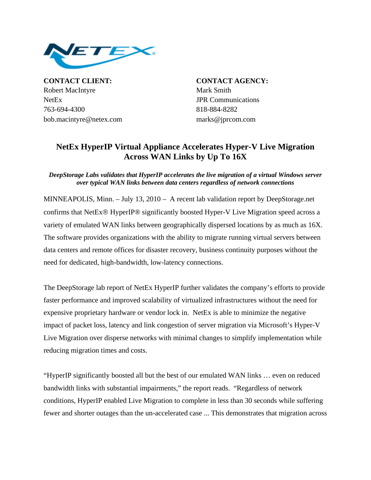

**CONTACT CLIENT: CONTACT AGENCY:** Robert MacIntyre Mark Smith NetEx JPR Communications 763-694-4300 818-884-8282 bob.macintyre@netex.com marks@jprcom.com

## **NetEx HyperIP Virtual Appliance Accelerates Hyper-V Live Migration Across WAN Links by Up To 16X**

## *DeepStorage Labs validates that HyperIP accelerates the live migration of a virtual Windows server over typical WAN links between data centers regardless of network connections*

MINNEAPOLIS, Minn. – July 13, 2010 – A recent lab validation report by DeepStorage.net confirms that NetEx® HyperIP® significantly boosted Hyper-V Live Migration speed across a variety of emulated WAN links between geographically dispersed locations by as much as 16X. The software provides organizations with the ability to migrate running virtual servers between data centers and remote offices for disaster recovery, business continuity purposes without the need for dedicated, high-bandwidth, low-latency connections.

The DeepStorage lab report of NetEx HyperIP further validates the company's efforts to provide faster performance and improved scalability of virtualized infrastructures without the need for expensive proprietary hardware or vendor lock in. NetEx is able to minimize the negative impact of packet loss, latency and link congestion of server migration via Microsoft's Hyper-V Live Migration over disperse networks with minimal changes to simplify implementation while reducing migration times and costs.

"HyperIP significantly boosted all but the best of our emulated WAN links … even on reduced bandwidth links with substantial impairments," the report reads. "Regardless of network conditions, HyperIP enabled Live Migration to complete in less than 30 seconds while suffering fewer and shorter outages than the un-accelerated case ... This demonstrates that migration across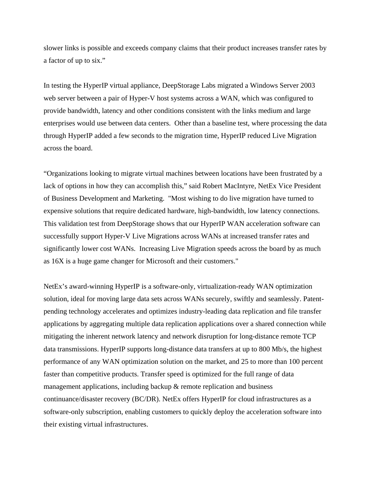slower links is possible and exceeds company claims that their product increases transfer rates by a factor of up to six."

In testing the HyperIP virtual appliance, DeepStorage Labs migrated a Windows Server 2003 web server between a pair of Hyper-V host systems across a WAN, which was configured to provide bandwidth, latency and other conditions consistent with the links medium and large enterprises would use between data centers. Other than a baseline test, where processing the data through HyperIP added a few seconds to the migration time, HyperIP reduced Live Migration across the board.

"Organizations looking to migrate virtual machines between locations have been frustrated by a lack of options in how they can accomplish this," said Robert MacIntyre, NetEx Vice President of Business Development and Marketing. "Most wishing to do live migration have turned to expensive solutions that require dedicated hardware, high-bandwidth, low latency connections. This validation test from DeepStorage shows that our HyperIP WAN acceleration software can successfully support Hyper-V Live Migrations across WANs at increased transfer rates and significantly lower cost WANs. Increasing Live Migration speeds across the board by as much as 16X is a huge game changer for Microsoft and their customers."

NetEx's award-winning HyperIP is a software-only, virtualization-ready WAN optimization solution, ideal for moving large data sets across WANs securely, swiftly and seamlessly. Patentpending technology accelerates and optimizes industry-leading data replication and file transfer applications by aggregating multiple data replication applications over a shared connection while mitigating the inherent network latency and network disruption for long-distance remote TCP data transmissions. HyperIP supports long-distance data transfers at up to 800 Mb/s, the highest performance of any WAN optimization solution on the market, and 25 to more than 100 percent faster than competitive products. Transfer speed is optimized for the full range of data management applications, including backup & remote replication and business continuance/disaster recovery (BC/DR). NetEx offers HyperIP for cloud infrastructures as a software-only subscription, enabling customers to quickly deploy the acceleration software into their existing virtual infrastructures.